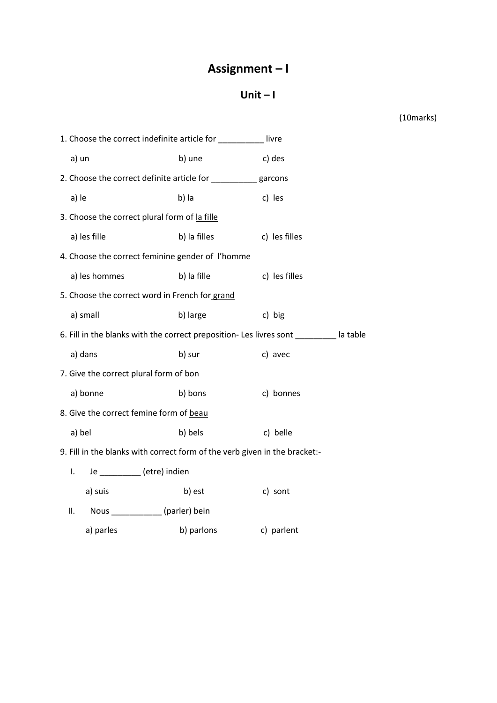## Assignment-I

## Unit- $\mathsf{I}$

(10marks)

| 1. Choose the correct indefinite article for __________<br>livre                       |              |               |  |  |  |  |  |
|----------------------------------------------------------------------------------------|--------------|---------------|--|--|--|--|--|
| a) un                                                                                  | b) une       | c) des        |  |  |  |  |  |
| 2. Choose the correct definite article for ___________ garcons                         |              |               |  |  |  |  |  |
| a) le                                                                                  | b) la        | c) les        |  |  |  |  |  |
| 3. Choose the correct plural form of la fille                                          |              |               |  |  |  |  |  |
| a) les fille                                                                           | b) la filles | c) les filles |  |  |  |  |  |
| 4. Choose the correct feminine gender of l'homme                                       |              |               |  |  |  |  |  |
| a) les hommes                                                                          | b) la fille  | c) les filles |  |  |  |  |  |
| 5. Choose the correct word in French for grand                                         |              |               |  |  |  |  |  |
| a) small                                                                               | b) large     | c) big        |  |  |  |  |  |
| 6. Fill in the blanks with the correct preposition- Les livres sont _________ la table |              |               |  |  |  |  |  |
| a) dans                                                                                | b) sur       | c) avec       |  |  |  |  |  |
| 7. Give the correct plural form of bon                                                 |              |               |  |  |  |  |  |
| a) bonne                                                                               | b) bons      | c) bonnes     |  |  |  |  |  |
| 8. Give the correct femine form of beau                                                |              |               |  |  |  |  |  |
| a) bel                                                                                 | b) bels      | c) belle      |  |  |  |  |  |
| 9. Fill in the blanks with correct form of the verb given in the bracket:-             |              |               |  |  |  |  |  |
| Je _________(etre) indien<br>I.                                                        |              |               |  |  |  |  |  |
| a) suis                                                                                | b) est       | c) sont       |  |  |  |  |  |
| Nous ____________(parler) bein<br>ΙΙ.                                                  |              |               |  |  |  |  |  |
| a) parles                                                                              | b) parlons   | c) parlent    |  |  |  |  |  |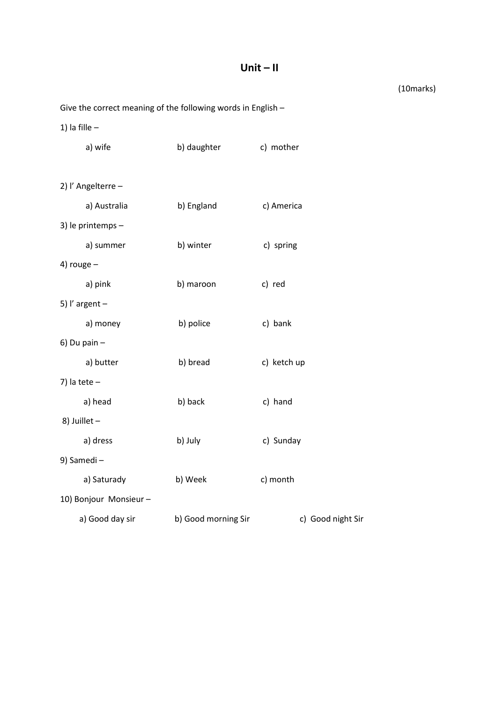## **Unit – II**

(10marks)

```
Give the correct meaning of the following words in English –
```
1) la fille –

|                | a) wife               | b) daughter         | c) mother         |  |  |  |
|----------------|-----------------------|---------------------|-------------------|--|--|--|
|                |                       |                     |                   |  |  |  |
|                | 2) l'Angelterre -     |                     |                   |  |  |  |
|                | a) Australia          | b) England          | c) America        |  |  |  |
|                | 3) le printemps -     |                     |                   |  |  |  |
|                | a) summer             | b) winter           | c) spring         |  |  |  |
| 4) rouge $-$   |                       |                     |                   |  |  |  |
|                | a) pink               | b) maroon           | c) red            |  |  |  |
|                | 5) l'argent $-$       |                     |                   |  |  |  |
|                | a) money              | b) police           | c) bank           |  |  |  |
| $6)$ Du pain - |                       |                     |                   |  |  |  |
|                | a) butter             | b) bread            | c) ketch up       |  |  |  |
| 7) la tete $-$ |                       |                     |                   |  |  |  |
|                | a) head               | b) back             | c) hand           |  |  |  |
| 8) Juillet -   |                       |                     |                   |  |  |  |
|                | a) dress              | b) July             | c) Sunday         |  |  |  |
|                | 9) Samedi-            |                     |                   |  |  |  |
|                | a) Saturady           | b) Week             | c) month          |  |  |  |
|                | 10) Bonjour Monsieur- |                     |                   |  |  |  |
|                | a) Good day sir       | b) Good morning Sir | c) Good night Sir |  |  |  |